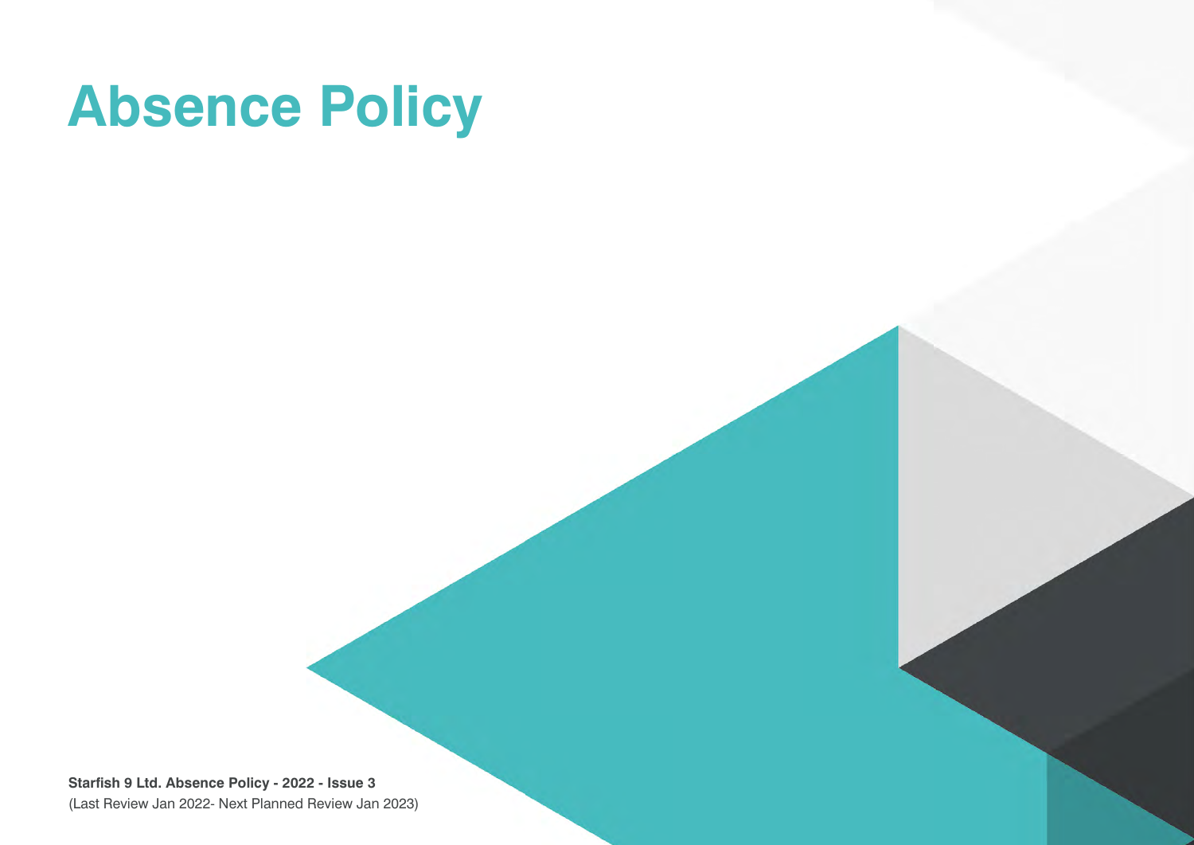# **Absence Policy**

**Starfish 9 Ltd. Absence Policy - 2022 - Issue 3** (Last Review Jan 2022- Next Planned Review Jan 2023)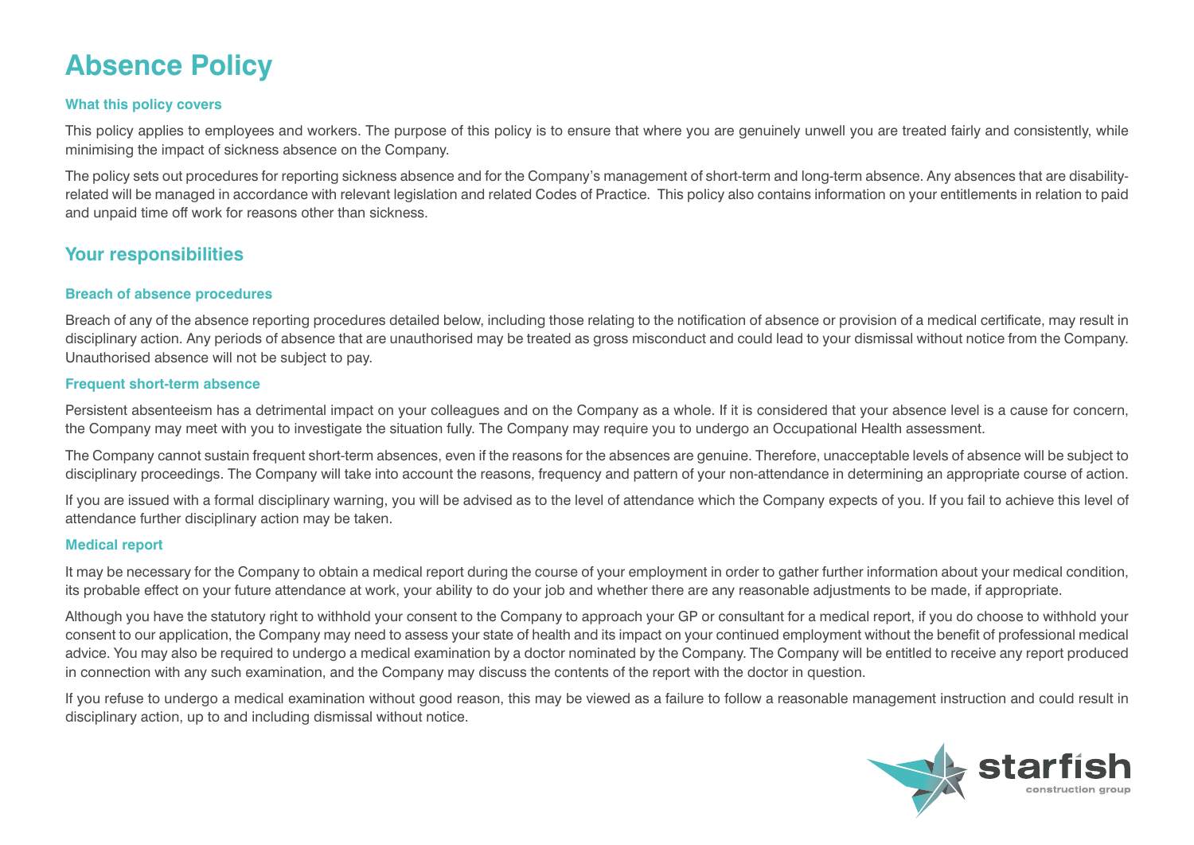# **Absence Policy**

#### **What this policy covers**

This policy applies to employees and workers. The purpose of this policy is to ensure that where you are genuinely unwell you are treated fairly and consistently, while minimising the impact of sickness absence on the Company.

The policy sets out procedures for reporting sickness absence and for the Company's management of short-term and long-term absence. Any absences that are disabilityrelated will be managed in accordance with relevant legislation and related Codes of Practice. This policy also contains information on your entitlements in relation to paid and unpaid time off work for reasons other than sickness.

# **Your responsibilities**

#### **Breach of absence procedures**

Breach of any of the absence reporting procedures detailed below, including those relating to the notification of absence or provision of a medical certificate, may result in disciplinary action. Any periods of absence that are unauthorised may be treated as gross misconduct and could lead to your dismissal without notice from the Company. Unauthorised absence will not be subject to pay.

#### **Frequent short-term absence**

Persistent absenteeism has a detrimental impact on your colleagues and on the Company as a whole. If it is considered that your absence level is a cause for concern, the Company may meet with you to investigate the situation fully. The Company may require you to undergo an Occupational Health assessment.

The Company cannot sustain frequent short-term absences, even if the reasons for the absences are genuine. Therefore, unacceptable levels of absence will be subject to disciplinary proceedings. The Company will take into account the reasons, frequency and pattern of your non-attendance in determining an appropriate course of action.

If you are issued with a formal disciplinary warning, you will be advised as to the level of attendance which the Company expects of you. If you fail to achieve this level of attendance further disciplinary action may be taken.

#### **Medical report**

It may be necessary for the Company to obtain a medical report during the course of your employment in order to gather further information about your medical condition, its probable effect on your future attendance at work, your ability to do your job and whether there are any reasonable adjustments to be made, if appropriate.

Although you have the statutory right to withhold your consent to the Company to approach your GP or consultant for a medical report, if you do choose to withhold your consent to our application, the Company may need to assess your state of health and its impact on your continued employment without the benefit of professional medical advice. You may also be required to undergo a medical examination by a doctor nominated by the Company. The Company will be entitled to receive any report produced in connection with any such examination, and the Company may discuss the contents of the report with the doctor in question.

If you refuse to undergo a medical examination without good reason, this may be viewed as a failure to follow a reasonable management instruction and could result in disciplinary action, up to and including dismissal without notice.

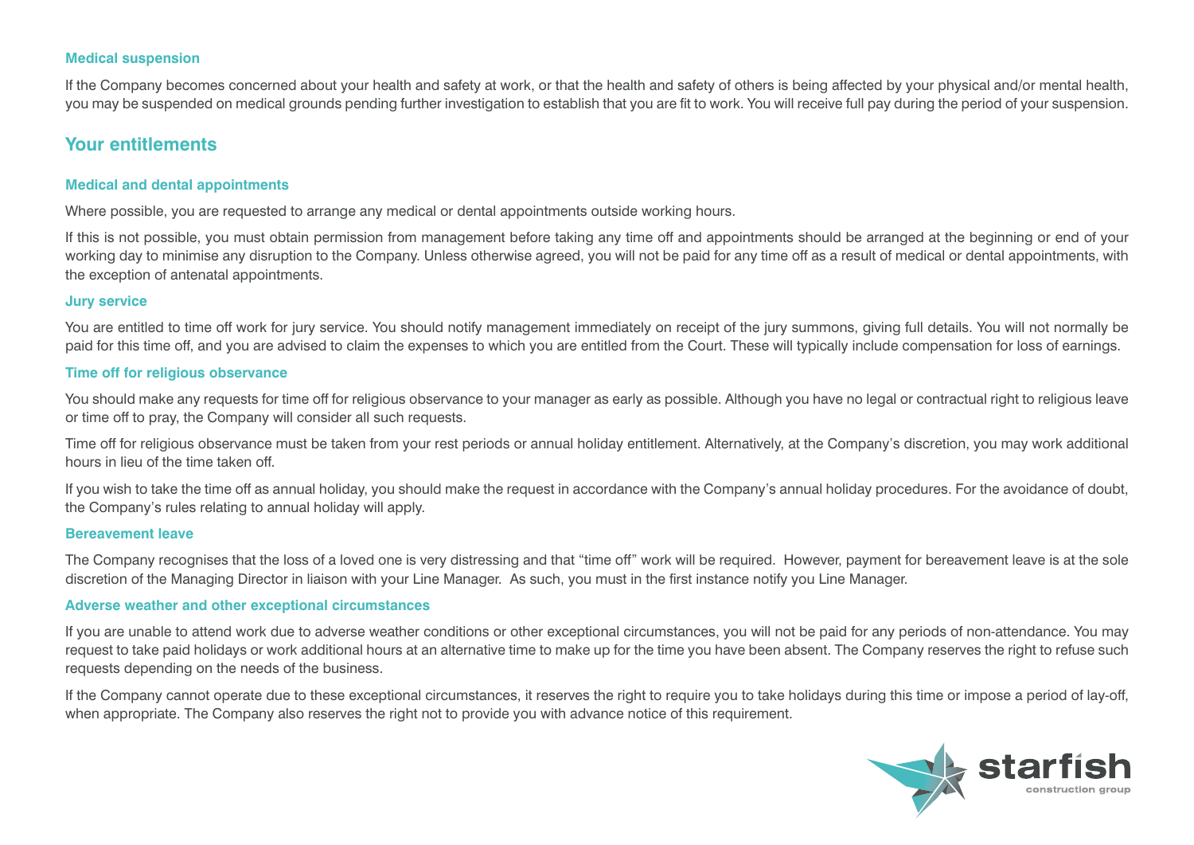#### **Medical suspension**

If the Company becomes concerned about your health and safety at work, or that the health and safety of others is being affected by your physical and/or mental health, you may be suspended on medical grounds pending further investigation to establish that you are fit to work. You will receive full pay during the period of your suspension.

## **Your entitlements**

#### **Medical and dental appointments**

Where possible, you are requested to arrange any medical or dental appointments outside working hours.

If this is not possible, you must obtain permission from management before taking any time off and appointments should be arranged at the beginning or end of your working day to minimise any disruption to the Company. Unless otherwise agreed, you will not be paid for any time off as a result of medical or dental appointments, with the exception of antenatal appointments.

#### **Jury service**

You are entitled to time off work for jury service. You should notify management immediately on receipt of the jury summons, giving full details. You will not normally be paid for this time off, and you are advised to claim the expenses to which you are entitled from the Court. These will typically include compensation for loss of earnings.

#### **Time off for religious observance**

You should make any requests for time off for religious observance to your manager as early as possible. Although you have no legal or contractual right to religious leave or time off to pray, the Company will consider all such requests.

Time off for religious observance must be taken from your rest periods or annual holiday entitlement. Alternatively, at the Company's discretion, you may work additional hours in lieu of the time taken off.

If you wish to take the time off as annual holiday, you should make the request in accordance with the Company's annual holiday procedures. For the avoidance of doubt, the Company's rules relating to annual holiday will apply.

#### **Bereavement leave**

The Company recognises that the loss of a loved one is very distressing and that "time off" work will be required. However, payment for bereavement leave is at the sole discretion of the Managing Director in liaison with your Line Manager. As such, you must in the first instance notify you Line Manager.

#### **Adverse weather and other exceptional circumstances**

If you are unable to attend work due to adverse weather conditions or other exceptional circumstances, you will not be paid for any periods of non-attendance. You may request to take paid holidays or work additional hours at an alternative time to make up for the time you have been absent. The Company reserves the right to refuse such requests depending on the needs of the business.

If the Company cannot operate due to these exceptional circumstances, it reserves the right to require you to take holidays during this time or impose a period of lay-off, when appropriate. The Company also reserves the right not to provide you with advance notice of this requirement.

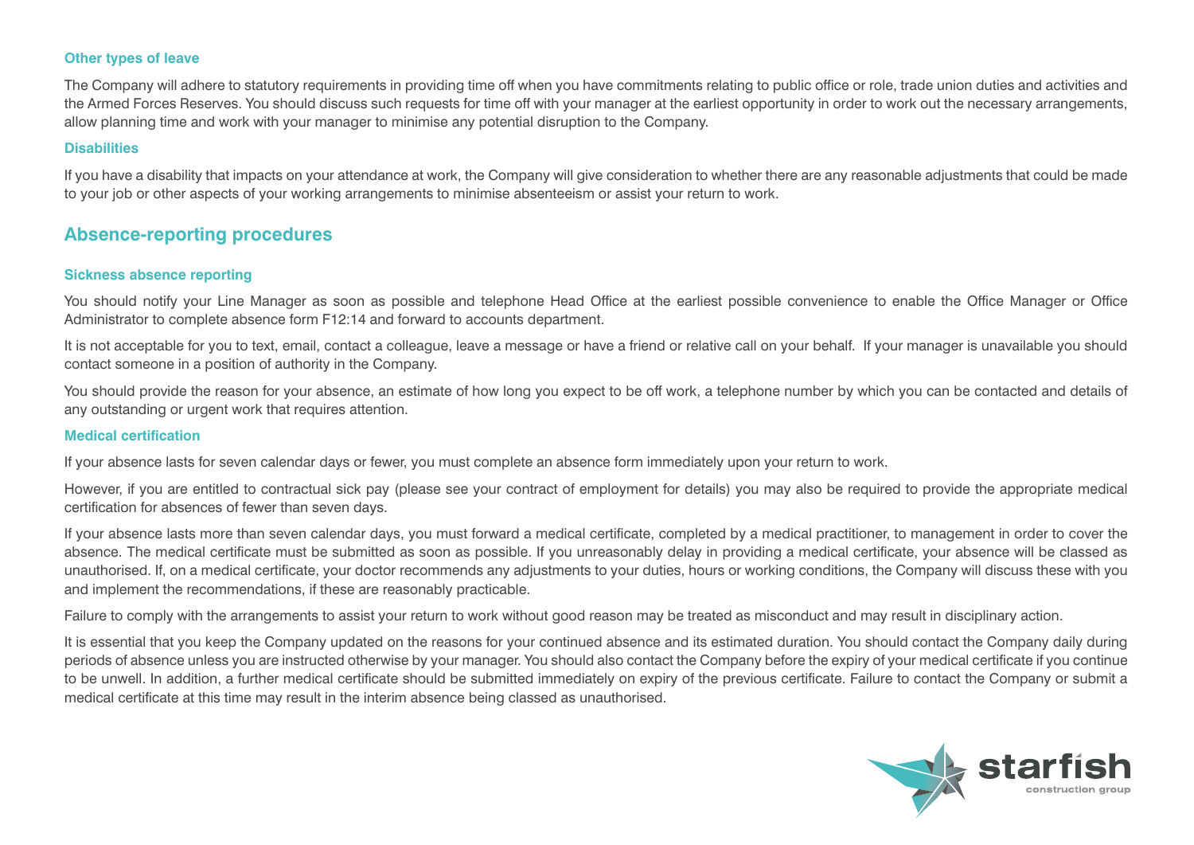#### **Other types of leave**

The Company will adhere to statutory requirements in providing time off when you have commitments relating to public office or role, trade union duties and activities and the Armed Forces Reserves. You should discuss such requests for time off with your manager at the earliest opportunity in order to work out the necessary arrangements, allow planning time and work with your manager to minimise any potential disruption to the Company.

#### **Disabilities**

If you have a disability that impacts on your attendance at work, the Company will give consideration to whether there are any reasonable adjustments that could be made to your job or other aspects of your working arrangements to minimise absenteeism or assist your return to work.

# **Absence-reporting procedures**

#### **Sickness absence reporting**

You should notify your Line Manager as soon as possible and telephone Head Office at the earliest possible convenience to enable the Office Manager or Office Administrator to complete absence form F12:14 and forward to accounts department.

It is not acceptable for you to text, email, contact a colleague, leave a message or have a friend or relative call on your behalf. If your manager is unavailable you should contact someone in a position of authority in the Company.

You should provide the reason for your absence, an estimate of how long you expect to be off work, a telephone number by which you can be contacted and details of any outstanding or urgent work that requires attention.

#### **Medical certification**

If your absence lasts for seven calendar days or fewer, you must complete an absence form immediately upon your return to work.

However, if you are entitled to contractual sick pay (please see your contract of employment for details) you may also be required to provide the appropriate medical certification for absences of fewer than seven days.

If your absence lasts more than seven calendar days, you must forward a medical certificate, completed by a medical practitioner, to management in order to cover the absence. The medical certificate must be submitted as soon as possible. If you unreasonably delay in providing a medical certificate, your absence will be classed as unauthorised. If, on a medical certificate, your doctor recommends any adjustments to your duties, hours or working conditions, the Company will discuss these with you and implement the recommendations, if these are reasonably practicable.

Failure to comply with the arrangements to assist your return to work without good reason may be treated as misconduct and may result in disciplinary action.

It is essential that you keep the Company updated on the reasons for your continued absence and its estimated duration. You should contact the Company daily during periods of absence unless you are instructed otherwise by your manager. You should also contact the Company before the expiry of your medical certificate if you continue to be unwell. In addition, a further medical certificate should be submitted immediately on expiry of the previous certificate. Failure to contact the Company or submit a medical certificate at this time may result in the interim absence being classed as unauthorised.